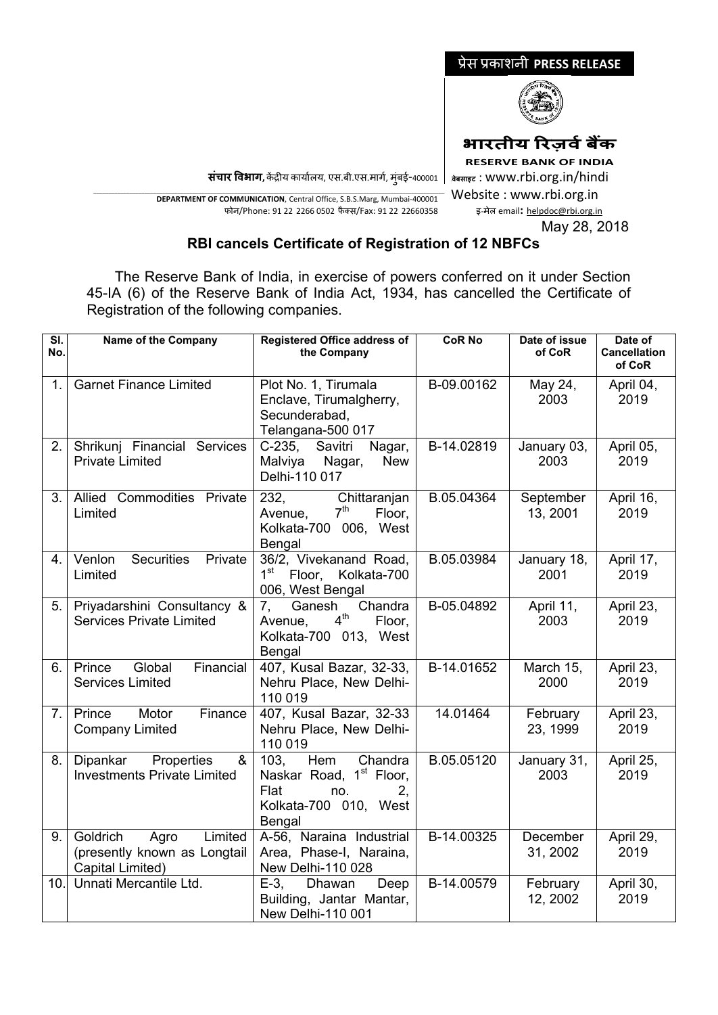

**भारतीय �रज़वर्बक� RESERVE BANK OF INDIA <sup>0</sup>वेबसाइट** : www.rbi.org.in/hindi Website : www.rbi.org.in

**संचार �वभाग,** क�द्र�य कायार्लय, एस.बी.एस.मागर्, मुंबई-400001

\_\_\_\_\_\_\_\_\_\_\_\_\_\_\_\_\_\_\_\_\_\_\_\_\_\_\_\_\_\_\_\_\_\_\_\_\_\_\_\_\_\_\_\_\_\_\_\_\_\_\_\_\_\_\_\_\_\_\_\_\_\_\_\_\_\_\_\_\_\_\_\_\_\_\_\_\_\_\_\_\_\_\_\_\_\_\_\_\_\_\_\_\_\_\_\_\_\_\_\_\_\_\_\_\_\_\_\_\_\_\_\_\_\_\_\_\_ **DEPARTMENT OF COMMUNICATION**, Central Office, S.B.S.Marg, Mumbai-400001 फोन/Phone: 91 22 2266 0502 फै क्स/Fax: 91 22 22660358

इ-मेल email**:** [helpdoc@rbi.org.in](mailto:helpdoc@rbi.org.in) May 28, 2018

## **RBI cancels Certificate of Registration of 12 NBFCs**

 The Reserve Bank of India, in exercise of powers conferred on it under Section 45-IA (6) of the Reserve Bank of India Act, 1934, has cancelled the Certificate of Registration of the following companies.

| $\overline{\mathsf{SI}}$ .<br>No. | Name of the Company                                                             | <b>Registered Office address of</b><br>the Company                                                                    | <b>CoR No</b> | Date of issue<br>of CoR | Date of<br><b>Cancellation</b><br>of CoR |
|-----------------------------------|---------------------------------------------------------------------------------|-----------------------------------------------------------------------------------------------------------------------|---------------|-------------------------|------------------------------------------|
| 1.                                | <b>Garnet Finance Limited</b>                                                   | Plot No. 1, Tirumala<br>Enclave, Tirumalgherry,<br>Secunderabad,<br>Telangana-500 017                                 | B-09.00162    | May 24,<br>2003         | April 04,<br>2019                        |
| 2.                                | Shrikunj Financial Services<br><b>Private Limited</b>                           | C-235, Savitri<br>Nagar,<br>Malviya Nagar,<br><b>New</b><br>Delhi-110 017                                             | B-14.02819    | January 03,<br>2003     | April 05,<br>2019                        |
| 3.                                | Allied Commodities Private<br>Limited                                           | 232,<br>Chittaranjan<br>Avenue, 7 <sup>th</sup><br>Floor,<br>Kolkata-700 006, West<br>Bengal                          | B.05.04364    | September<br>13, 2001   | April 16,<br>2019                        |
| 4.                                | Securities Private<br>Venlon<br>Limited                                         | 36/2, Vivekanand Road,<br>1 <sup>st</sup> Floor, Kolkata-700<br>006, West Bengal                                      | B.05.03984    | January 18,<br>2001     | April 17,<br>2019                        |
| 5.                                | Priyadarshini Consultancy &<br><b>Services Private Limited</b>                  | Chandra<br>7, Ganesh<br>4 <sup>th</sup><br>Floor,<br>Avenue,<br>Kolkata-700 013, West<br>Bengal                       | B-05.04892    | April 11,<br>2003       | April 23,<br>2019                        |
| 6.                                | Global<br>Financial<br>Prince<br><b>Services Limited</b>                        | 407, Kusal Bazar, 32-33,<br>Nehru Place, New Delhi-<br>110 019                                                        | B-14.01652    | March 15,<br>2000       | April 23,<br>2019                        |
| 7.                                | Prince<br>Motor<br>Finance<br><b>Company Limited</b>                            | 407, Kusal Bazar, 32-33<br>Nehru Place, New Delhi-<br>110 019                                                         | 14.01464      | February<br>23, 1999    | April 23,<br>2019                        |
| 8.                                | Properties<br>Dipankar<br>&<br><b>Investments Private Limited</b>               | Hem<br>Chandra<br>103.<br>Naskar Road, 1 <sup>st</sup> Floor,<br>Flat<br>no.<br>2.<br>Kolkata-700 010, West<br>Bengal | B.05.05120    | January 31,<br>2003     | April 25,<br>2019                        |
| 9.                                | Goldrich<br>Limited<br>Agro<br>(presently known as Longtail<br>Capital Limited) | A-56, Naraina Industrial<br>Area, Phase-I, Naraina,<br>New Delhi-110 028                                              | B-14.00325    | December<br>31, 2002    | April 29,<br>2019                        |
| 10.                               | Unnati Mercantile Ltd.                                                          | $E-3$ .<br>Dhawan<br>Deep<br>Building, Jantar Mantar,<br>New Delhi-110 001                                            | B-14.00579    | February<br>12, 2002    | April 30,<br>2019                        |